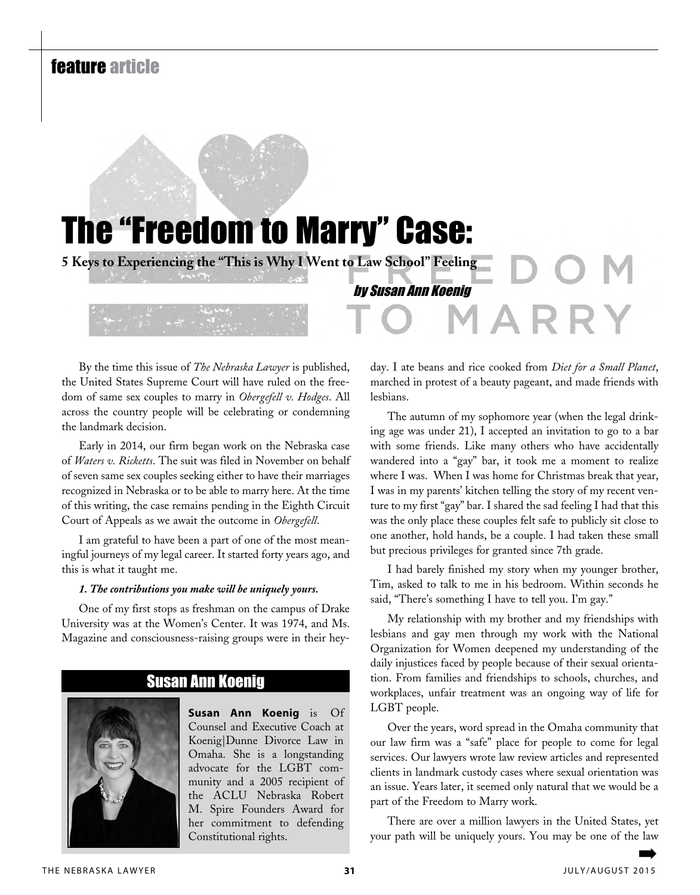# feature article

# The "Freedom to Marry" Case:

**5 Keys to Experiencing the "This is Why I Went to Law School" Feeling**

by Susan Ann Koenig

By the time this issue of *The Nebraska Lawyer* is published, the United States Supreme Court will have ruled on the freedom of same sex couples to marry in *Obergefell v. Hodges*. All across the country people will be celebrating or condemning the landmark decision.

Early in 2014, our firm began work on the Nebraska case of *Waters v. Ricketts*. The suit was filed in November on behalf of seven same sex couples seeking either to have their marriages recognized in Nebraska or to be able to marry here. At the time of this writing, the case remains pending in the Eighth Circuit Court of Appeals as we await the outcome in *Obergefell*.

I am grateful to have been a part of one of the most meaningful journeys of my legal career. It started forty years ago, and this is what it taught me.

## *1. The contributions you make will be uniquely yours.*

One of my first stops as freshman on the campus of Drake University was at the Women's Center. It was 1974, and Ms. Magazine and consciousness-raising groups were in their hey-

# Susan Ann Koenig



**Susan Ann Koenig** is Of Counsel and Executive Coach at Koenig|Dunne Divorce Law in Omaha. She is a longstanding advocate for the LGBT community and a 2005 recipient of the ACLU Nebraska Robert M. Spire Founders Award for her commitment to defending Constitutional rights.

day. I ate beans and rice cooked from *Diet for a Small Planet*, marched in protest of a beauty pageant, and made friends with lesbians.

The autumn of my sophomore year (when the legal drinking age was under 21), I accepted an invitation to go to a bar with some friends. Like many others who have accidentally wandered into a "gay" bar, it took me a moment to realize where I was. When I was home for Christmas break that year, I was in my parents' kitchen telling the story of my recent venture to my first "gay" bar. I shared the sad feeling I had that this was the only place these couples felt safe to publicly sit close to one another, hold hands, be a couple. I had taken these small but precious privileges for granted since 7th grade.

I had barely finished my story when my younger brother, Tim, asked to talk to me in his bedroom. Within seconds he said, "There's something I have to tell you. I'm gay."

My relationship with my brother and my friendships with lesbians and gay men through my work with the National Organization for Women deepened my understanding of the daily injustices faced by people because of their sexual orientation. From families and friendships to schools, churches, and workplaces, unfair treatment was an ongoing way of life for LGBT people.

Over the years, word spread in the Omaha community that our law firm was a "safe" place for people to come for legal services. Our lawyers wrote law review articles and represented clients in landmark custody cases where sexual orientation was an issue. Years later, it seemed only natural that we would be a part of the Freedom to Marry work.

There are over a million lawyers in the United States, yet your path will be uniquely yours. You may be one of the law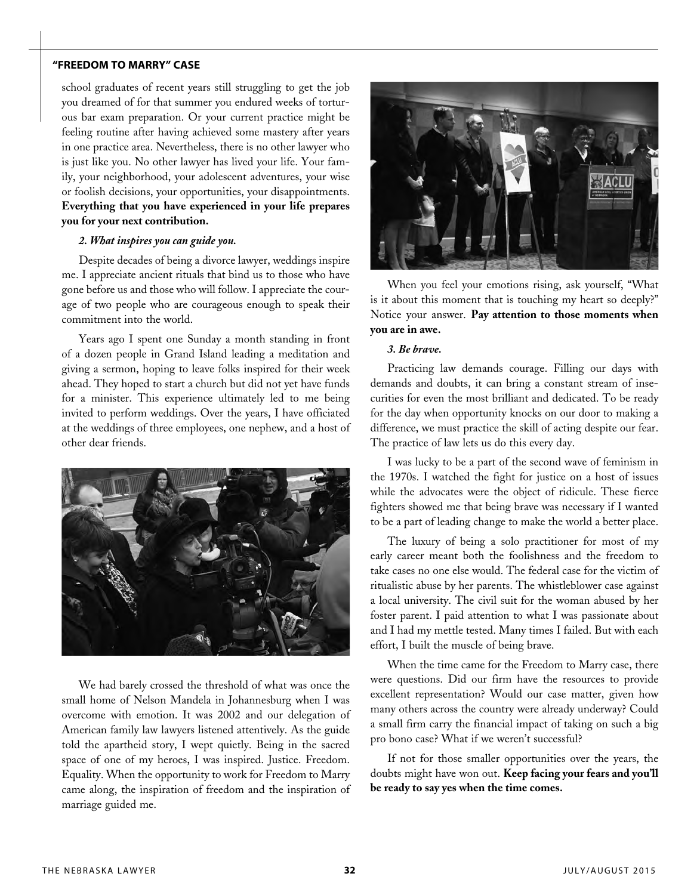# **"Freedom to Marry" Case**

school graduates of recent years still struggling to get the job you dreamed of for that summer you endured weeks of torturous bar exam preparation. Or your current practice might be feeling routine after having achieved some mastery after years in one practice area. Nevertheless, there is no other lawyer who is just like you. No other lawyer has lived your life. Your family, your neighborhood, your adolescent adventures, your wise or foolish decisions, your opportunities, your disappointments. **Everything that you have experienced in your life prepares you for your next contribution.**

# *2. What inspires you can guide you.*

Despite decades of being a divorce lawyer, weddings inspire me. I appreciate ancient rituals that bind us to those who have gone before us and those who will follow. I appreciate the courage of two people who are courageous enough to speak their commitment into the world.

Years ago I spent one Sunday a month standing in front of a dozen people in Grand Island leading a meditation and giving a sermon, hoping to leave folks inspired for their week ahead. They hoped to start a church but did not yet have funds for a minister. This experience ultimately led to me being invited to perform weddings. Over the years, I have officiated at the weddings of three employees, one nephew, and a host of other dear friends.



We had barely crossed the threshold of what was once the small home of Nelson Mandela in Johannesburg when I was overcome with emotion. It was 2002 and our delegation of American family law lawyers listened attentively. As the guide told the apartheid story, I wept quietly. Being in the sacred space of one of my heroes, I was inspired. Justice. Freedom. Equality. When the opportunity to work for Freedom to Marry came along, the inspiration of freedom and the inspiration of marriage guided me.



When you feel your emotions rising, ask yourself, "What is it about this moment that is touching my heart so deeply?" Notice your answer. **Pay attention to those moments when you are in awe.**

#### *3. Be brave.*

Practicing law demands courage. Filling our days with demands and doubts, it can bring a constant stream of insecurities for even the most brilliant and dedicated. To be ready for the day when opportunity knocks on our door to making a difference, we must practice the skill of acting despite our fear. The practice of law lets us do this every day.

I was lucky to be a part of the second wave of feminism in the 1970s. I watched the fight for justice on a host of issues while the advocates were the object of ridicule. These fierce fighters showed me that being brave was necessary if I wanted to be a part of leading change to make the world a better place.

The luxury of being a solo practitioner for most of my early career meant both the foolishness and the freedom to take cases no one else would. The federal case for the victim of ritualistic abuse by her parents. The whistleblower case against a local university. The civil suit for the woman abused by her foster parent. I paid attention to what I was passionate about and I had my mettle tested. Many times I failed. But with each effort, I built the muscle of being brave.

When the time came for the Freedom to Marry case, there were questions. Did our firm have the resources to provide excellent representation? Would our case matter, given how many others across the country were already underway? Could a small firm carry the financial impact of taking on such a big pro bono case? What if we weren't successful?

If not for those smaller opportunities over the years, the doubts might have won out. **Keep facing your fears and you'll be ready to say yes when the time comes.**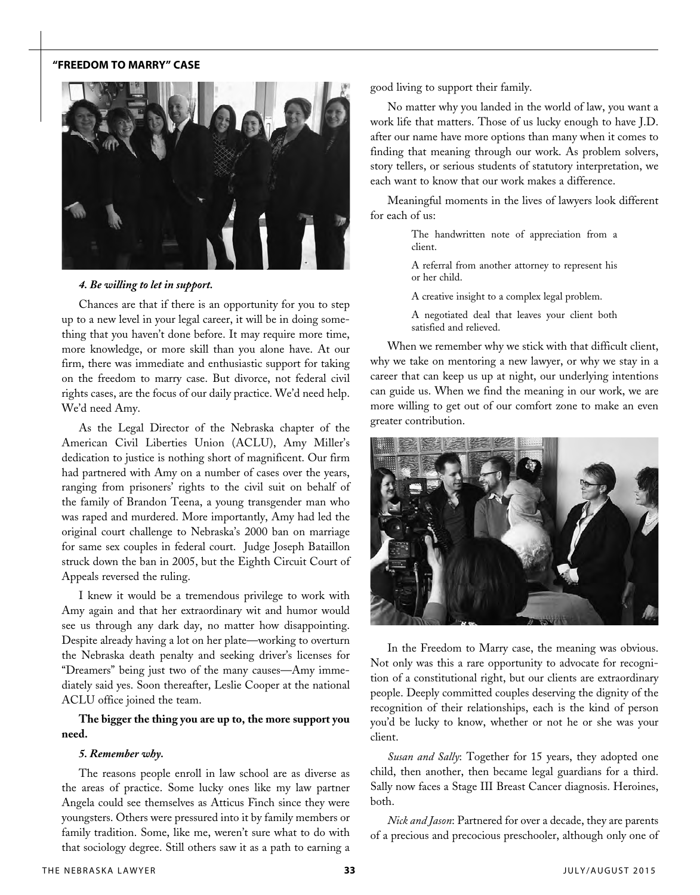# **"Freedom to Marry" Case**



#### *4. Be willing to let in support.*

Chances are that if there is an opportunity for you to step up to a new level in your legal career, it will be in doing something that you haven't done before. It may require more time, more knowledge, or more skill than you alone have. At our firm, there was immediate and enthusiastic support for taking on the freedom to marry case. But divorce, not federal civil rights cases, are the focus of our daily practice. We'd need help. We'd need Amy.

As the Legal Director of the Nebraska chapter of the American Civil Liberties Union (ACLU), Amy Miller's dedication to justice is nothing short of magnificent. Our firm had partnered with Amy on a number of cases over the years, ranging from prisoners' rights to the civil suit on behalf of the family of Brandon Teena, a young transgender man who was raped and murdered. More importantly, Amy had led the original court challenge to Nebraska's 2000 ban on marriage for same sex couples in federal court. Judge Joseph Bataillon struck down the ban in 2005, but the Eighth Circuit Court of Appeals reversed the ruling.

I knew it would be a tremendous privilege to work with Amy again and that her extraordinary wit and humor would see us through any dark day, no matter how disappointing. Despite already having a lot on her plate—working to overturn the Nebraska death penalty and seeking driver's licenses for "Dreamers" being just two of the many causes—Amy immediately said yes. Soon thereafter, Leslie Cooper at the national ACLU office joined the team.

# **The bigger the thing you are up to, the more support you need.**

#### *5. Remember why.*

The reasons people enroll in law school are as diverse as the areas of practice. Some lucky ones like my law partner Angela could see themselves as Atticus Finch since they were youngsters. Others were pressured into it by family members or family tradition. Some, like me, weren't sure what to do with that sociology degree. Still others saw it as a path to earning a

good living to support their family.

No matter why you landed in the world of law, you want a work life that matters. Those of us lucky enough to have J.D. after our name have more options than many when it comes to finding that meaning through our work. As problem solvers, story tellers, or serious students of statutory interpretation, we each want to know that our work makes a difference.

Meaningful moments in the lives of lawyers look different for each of us:

> The handwritten note of appreciation from a client.

> A referral from another attorney to represent his or her child.

A creative insight to a complex legal problem.

A negotiated deal that leaves your client both satisfied and relieved.

When we remember why we stick with that difficult client, why we take on mentoring a new lawyer, or why we stay in a career that can keep us up at night, our underlying intentions can guide us. When we find the meaning in our work, we are more willing to get out of our comfort zone to make an even greater contribution.



In the Freedom to Marry case, the meaning was obvious. Not only was this a rare opportunity to advocate for recognition of a constitutional right, but our clients are extraordinary people. Deeply committed couples deserving the dignity of the recognition of their relationships, each is the kind of person you'd be lucky to know, whether or not he or she was your client.

*Susan and Sally*: Together for 15 years, they adopted one child, then another, then became legal guardians for a third. Sally now faces a Stage III Breast Cancer diagnosis. Heroines, both.

*Nick and Jason*: Partnered for over a decade, they are parents of a precious and precocious preschooler, although only one of